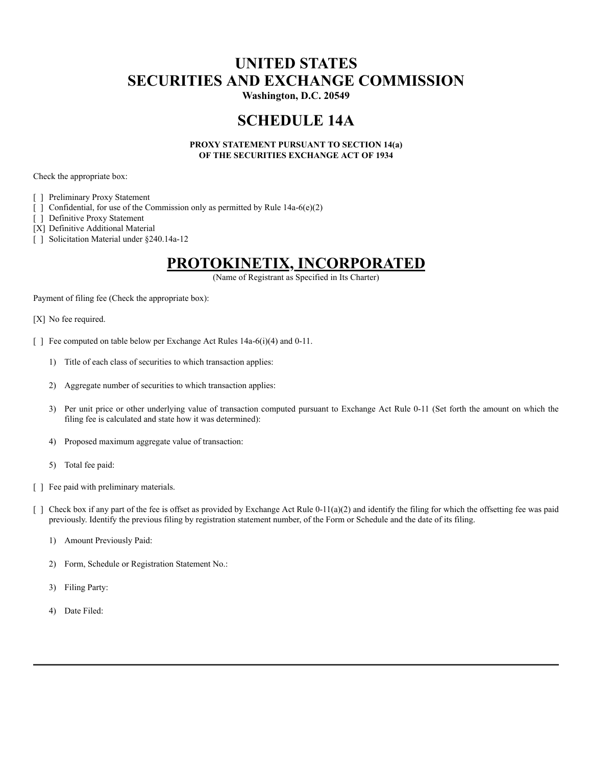## **UNITED STATES SECURITIES AND EXCHANGE COMMISSION**

**Washington, D.C. 20549**

### **SCHEDULE 14A**

#### **PROXY STATEMENT PURSUANT TO SECTION 14(a) OF THE SECURITIES EXCHANGE ACT OF 1934**

Check the appropriate box:

[ ] Preliminary Proxy Statement

- $[$  Confidential, for use of the Commission only as permitted by Rule 14a-6(e)(2)
- [ ] Definitive Proxy Statement

[X] Definitive Additional Material

[ ] Solicitation Material under §240.14a-12

#### **PROTOKINETIX, INCORPORATED**

(Name of Registrant as Specified in Its Charter)

Payment of filing fee (Check the appropriate box):

- [X] No fee required.
- [ ] Fee computed on table below per Exchange Act Rules 14a-6(i)(4) and 0-11.
	- 1) Title of each class of securities to which transaction applies:
	- 2) Aggregate number of securities to which transaction applies:
	- 3) Per unit price or other underlying value of transaction computed pursuant to Exchange Act Rule 0-11 (Set forth the amount on which the filing fee is calculated and state how it was determined):
	- 4) Proposed maximum aggregate value of transaction:
	- 5) Total fee paid:
- [ ] Fee paid with preliminary materials.
- $\lceil \int$  Check box if any part of the fee is offset as provided by Exchange Act Rule 0-11(a)(2) and identify the filing for which the offsetting fee was paid previously. Identify the previous filing by registration statement number, of the Form or Schedule and the date of its filing.
	- 1) Amount Previously Paid:
	- 2) Form, Schedule or Registration Statement No.:
	- 3) Filing Party:
	- 4) Date Filed: